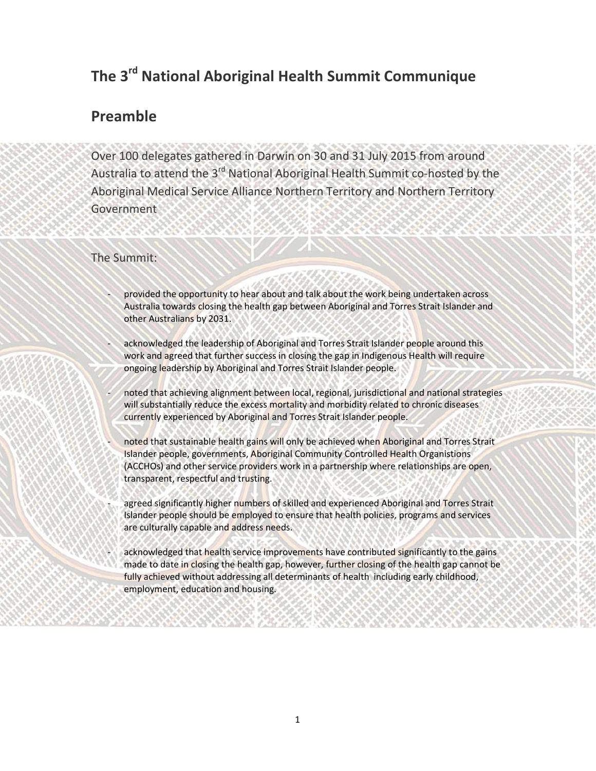## **The 3rd National Aboriginal Health Summit Communique**

## **Preamble**

Over 100 delegates gathered in Darwin on 30 and 31 July 2015 from around Australia to attend the 3<sup>rd</sup> National Aboriginal Health Summit co-hosted by the Aboriginal Medical Service Alliance Northern Territory and Northern Territory **Government** 

## The Summit:

- provided the opportunity to hear about and talk about the work being undertaken across Australia towards closing the health gap between Aboriginal and Torres Strait Islander and other Australians by 2031.
- acknowledged the leadership of Aboriginal and Torres Strait Islander people around this work and agreed that further success in closing the gap in Indigenous Health will require ongoing leadership by Aboriginal and Torres Strait Islander people.
- noted that achieving alignment between local, regional, jurisdictional and national strategies will substantially reduce the excess mortality and morbidity related to chronic diseases currently experienced by Aboriginal and Torres Strait Islander people.
- noted that sustainable health gains will only be achieved when Aboriginal and Torres Strait Islander people, governments, Aboriginal Community Controlled Health Organistions (ACCHOs) and other service providers work in a partnership where relationships are open, transparent, respectful and trusting.
- agreed significantly higher numbers of skilled and experienced Aboriginal and Torres Strait Islander people should be employed to ensure that health policies, programs and services are culturally capable and address needs.
- acknowledged that health service improvements have contributed significantly to the gains made to date in closing the health gap, however, further closing of the health gap cannot be fully achieved without addressing all determinants of health including early childhood, employment, education and housing.